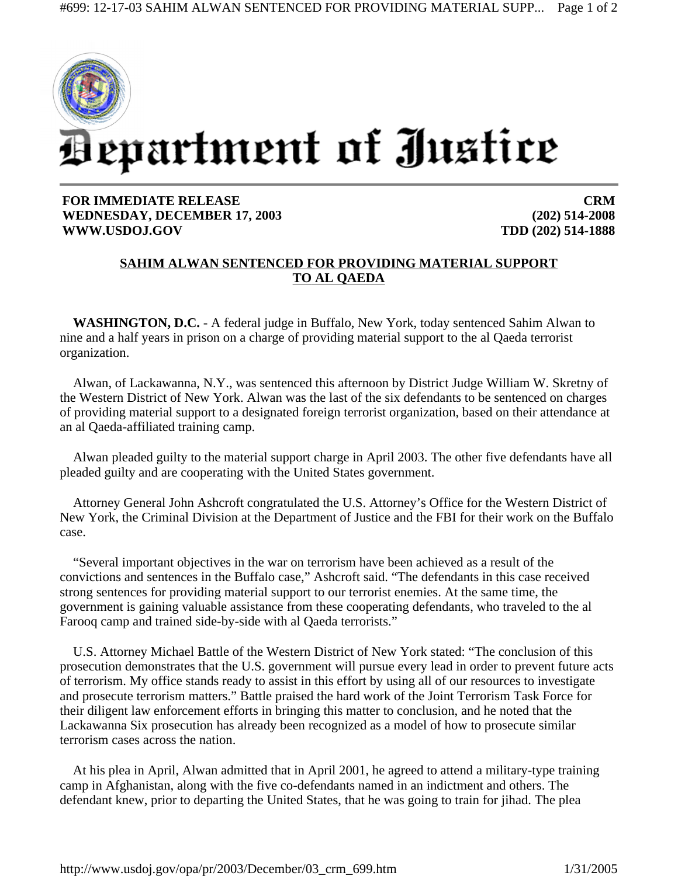

## **FOR IMMEDIATE RELEASE WEDNESDAY, DECEMBER 17, 2003 WWW.USDOJ.GOV**

**CRM (202) 514-2008 TDD (202) 514-1888**

## **SAHIM ALWAN SENTENCED FOR PROVIDING MATERIAL SUPPORT TO AL QAEDA**

**WASHINGTON, D.C.** - A federal judge in Buffalo, New York, today sentenced Sahim Alwan to nine and a half years in prison on a charge of providing material support to the al Qaeda terrorist organization.

Alwan, of Lackawanna, N.Y., was sentenced this afternoon by District Judge William W. Skretny of the Western District of New York. Alwan was the last of the six defendants to be sentenced on charges of providing material support to a designated foreign terrorist organization, based on their attendance at an al Qaeda-affiliated training camp.

Alwan pleaded guilty to the material support charge in April 2003. The other five defendants have all pleaded guilty and are cooperating with the United States government.

Attorney General John Ashcroft congratulated the U.S. Attorney's Office for the Western District of New York, the Criminal Division at the Department of Justice and the FBI for their work on the Buffalo case.

"Several important objectives in the war on terrorism have been achieved as a result of the convictions and sentences in the Buffalo case," Ashcroft said. "The defendants in this case received strong sentences for providing material support to our terrorist enemies. At the same time, the government is gaining valuable assistance from these cooperating defendants, who traveled to the al Farooq camp and trained side-by-side with al Qaeda terrorists."

U.S. Attorney Michael Battle of the Western District of New York stated: "The conclusion of this prosecution demonstrates that the U.S. government will pursue every lead in order to prevent future acts of terrorism. My office stands ready to assist in this effort by using all of our resources to investigate and prosecute terrorism matters." Battle praised the hard work of the Joint Terrorism Task Force for their diligent law enforcement efforts in bringing this matter to conclusion, and he noted that the Lackawanna Six prosecution has already been recognized as a model of how to prosecute similar terrorism cases across the nation.

At his plea in April, Alwan admitted that in April 2001, he agreed to attend a military-type training camp in Afghanistan, along with the five co-defendants named in an indictment and others. The defendant knew, prior to departing the United States, that he was going to train for jihad. The plea